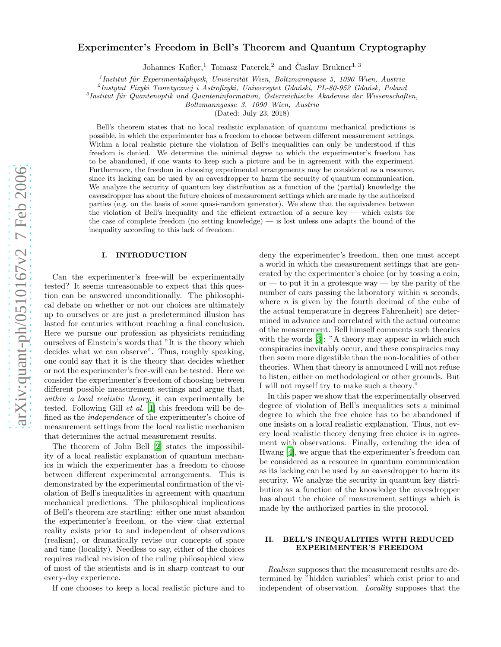# arXiv:quant-ph/0510167v2 7 Feb 2006 [arXiv:quant-ph/0510167v2 7 Feb 2006](http://arxiv.org/abs/quant-ph/0510167v2)

# Experimenter's Freedom in Bell's Theorem and Quantum Cryptography

Johannes Kofler,<sup>1</sup> Tomasz Paterek,<sup>2</sup> and Časlav Brukner<sup>1,3</sup>

 $1$ Institut für Experimentalphysik, Universität Wien, Boltzmanngasse 5, 1090 Wien, Austria

 $^{2}$ Instytut Fizyki Teoretycznej i Astrofizyki, Uniwersytet Gdański, PL-80-952 Gdańsk, Poland

 ${}^{3}$ Institut für Quantenoptik und Quanteninformation, Österreichische Akademie der Wissenschaften,

Boltzmanngasse 3, 1090 Wien, Austria

(Dated: July 23, 2018)

Bell's theorem states that no local realistic explanation of quantum mechanical predictions is possible, in which the experimenter has a freedom to choose between different measurement settings. Within a local realistic picture the violation of Bell's inequalities can only be understood if this freedom is denied. We determine the minimal degree to which the experimenter's freedom has to be abandoned, if one wants to keep such a picture and be in agreement with the experiment. Furthermore, the freedom in choosing experimental arrangements may be considered as a resource, since its lacking can be used by an eavesdropper to harm the security of quantum communication. We analyze the security of quantum key distribution as a function of the (partial) knowledge the eavesdropper has about the future choices of measurement settings which are made by the authorized parties (e.g. on the basis of some quasi-random generator). We show that the equivalence between the violation of Bell's inequality and the efficient extraction of a secure key — which exists for the case of complete freedom (no setting knowledge) — is lost unless one adapts the bound of the inequality according to this lack of freedom.

## I. INTRODUCTION

Can the experimenter's free-will be experimentally tested? It seems unreasonable to expect that this question can be answered unconditionally. The philosophical debate on whether or not our choices are ultimately up to ourselves or are just a predetermined illusion has lasted for centuries without reaching a final conclusion. Here we pursue our profession as physicists reminding ourselves of Einstein's words that "It is the theory which decides what we can observe". Thus, roughly speaking, one could say that it is the theory that decides whether or not the experimenter's free-will can be tested. Here we consider the experimenter's freedom of choosing between different possible measurement settings and argue that, within a local realistic theory, it can experimentally be tested. Following Gill et al. [\[1\]](#page-6-0) this freedom will be defined as the independence of the experimenter's choice of measurement settings from the local realistic mechanism that determines the actual measurement results.

The theorem of John Bell [\[2\]](#page-6-1) states the impossibility of a local realistic explanation of quantum mechanics in which the experimenter has a freedom to choose between different experimental arrangements. This is demonstrated by the experimental confirmation of the violation of Bell's inequalities in agreement with quantum mechanical predictions. The philosophical implications of Bell's theorem are startling: either one must abandon the experimenter's freedom, or the view that external reality exists prior to and independent of observations (realism), or dramatically revise our concepts of space and time (locality). Needless to say, either of the choices requires radical revision of the ruling philosophical view of most of the scientists and is in sharp contrast to our every-day experience.

If one chooses to keep a local realistic picture and to

deny the experimenter's freedom, then one must accept a world in which the measurement settings that are generated by the experimenter's choice (or by tossing a coin, or — to put it in a grotesque way — by the parity of the number of cars passing the laboratory within *n* seconds, where  $n$  is given by the fourth decimal of the cube of the actual temperature in degrees Fahrenheit) are determined in advance and correlated with the actual outcome of the measurement. Bell himself comments such theories with the words [\[3\]](#page-6-2): "A theory may appear in which such conspiracies inevitably occur, and these conspiracies may then seem more digestible than the non-localities of other theories. When that theory is announced I will not refuse to listen, either on methodological or other grounds. But I will not myself try to make such a theory."

In this paper we show that the experimentally observed degree of violation of Bell's inequalities sets a minimal degree to which the free choice has to be abandoned if one insists on a local realistic explanation. Thus, not every local realistic theory denying free choice is in agreement with observations. Finally, extending the idea of Hwang [\[4](#page-6-3)], we argue that the experimenter's freedom can be considered as a resource in quantum communication as its lacking can be used by an eavesdropper to harm its security. We analyze the security in quantum key distribution as a function of the knowledge the eavesdropper has about the choice of measurement settings which is made by the authorized parties in the protocol.

# <span id="page-0-0"></span>II. BELL'S INEQUALITIES WITH REDUCED EXPERIMENTER'S FREEDOM

Realism supposes that the measurement results are determined by "hidden variables" which exist prior to and independent of observation. Locality supposes that the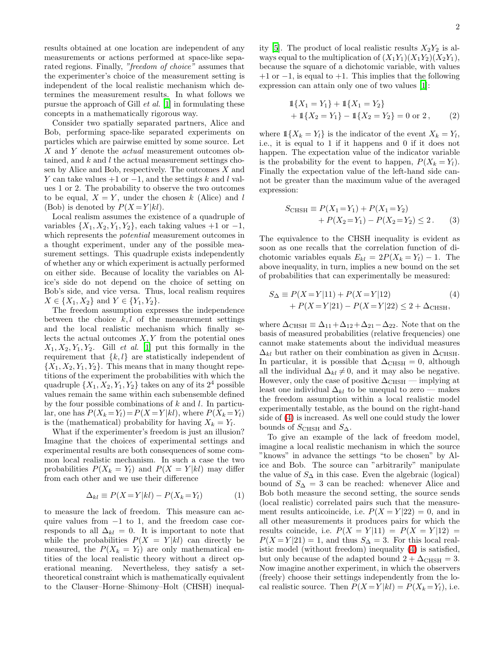results obtained at one location are independent of any measurements or actions performed at space-like separated regions. Finally, "freedom of choice" assumes that the experimenter's choice of the measurement setting is independent of the local realistic mechanism which determines the measurement results. In what follows we pursue the approach of Gill et al. [\[1\]](#page-6-0) in formulating these concepts in a mathematically rigorous way.

Consider two spatially separated partners, Alice and Bob, performing space-like separated experiments on particles which are pairwise emitted by some source. Let X and Y denote the *actual* measurement outcomes obtained, and  $k$  and  $l$  the actual measurement settings chosen by Alice and Bob, respectively. The outcomes X and Y can take values  $+1$  or  $-1$ , and the settings k and l values 1 or 2. The probability to observe the two outcomes to be equal,  $X = Y$ , under the chosen k (Alice) and l (Bob) is denoted by  $P(X = Y | kl)$ .

Local realism assumes the existence of a quadruple of variables  $\{X_1, X_2, Y_1, Y_2\}$ , each taking values +1 or -1, which represents the potential measurement outcomes in a thought experiment, under any of the possible measurement settings. This quadruple exists independently of whether any or which experiment is actually performed on either side. Because of locality the variables on Alice's side do not depend on the choice of setting on Bob's side, and vice versa. Thus, local realism requires  $X \in \{X_1, X_2\}$  and  $Y \in \{Y_1, Y_2\}$ .

The freedom assumption expresses the independence between the choice  $k, l$  of the measurement settings and the local realistic mechanism which finally selects the actual outcomes  $X, Y$  from the potential ones  $X_1, X_2, Y_1, Y_2$ . Gill *et al.* [\[1\]](#page-6-0) put this formally in the requirement that  $\{k, l\}$  are statistically independent of  $\{X_1, X_2, Y_1, Y_2\}$ . This means that in many thought repetitions of the experiment the probabilities with which the quadruple  $\{X_1, X_2, Y_1, Y_2\}$  takes on any of its  $2^4$  possible values remain the same within each subensemble defined by the four possible combinations of  $k$  and  $l$ . In particular, one has  $P(X_k = Y_l) = P(X = Y | kl)$ , where  $P(X_k = Y_l)$ is the (mathematical) probability for having  $X_k = Y_l$ .

What if the experimenter's freedom is just an illusion? Imagine that the choices of experimental settings and experimental results are both consequences of some common local realistic mechanism. In such a case the two probabilities  $P(X_k = Y_l)$  and  $P(X = Y | kl)$  may differ from each other and we use their difference

$$
\Delta_{kl} \equiv P(X = Y|kl) - P(X_k = Y_l) \tag{1}
$$

to measure the lack of freedom. This measure can acquire values from  $-1$  to 1, and the freedom case corresponds to all  $\Delta_{kl} = 0$ . It is important to note that while the probabilities  $P(X = Y|kl)$  can directly be measured, the  $P(X_k = Y_l)$  are only mathematical entities of the local realistic theory without a direct operational meaning. Nevertheless, they satisfy a settheoretical constraint which is mathematically equivalent to the Clauser–Horne–Shimony–Holt (CHSH) inequality [\[5\]](#page-6-4). The product of local realistic results  $X_2Y_2$  is always equal to the multiplication of  $(X_1Y_1)(X_1Y_2)(X_2Y_1)$ , because the square of a dichotomic variable, with values  $+1$  or  $-1$ , is equal to  $+1$ . This implies that the following expression can attain only one of two values [\[1](#page-6-0)]:

$$
\begin{aligned} \mathbb{1}\{X_1 = Y_1\} + \mathbb{1}\{X_1 = Y_2\} \\ + \mathbb{1}\{X_2 = Y_1\} - \mathbb{1}\{X_2 = Y_2\} = 0 \text{ or } 2 \,, \end{aligned} \tag{2}
$$

where  $1\{X_k = Y_l\}$  is the indicator of the event  $X_k = Y_l$ , i.e., it is equal to 1 if it happens and 0 if it does not happen. The expectation value of the indicator variable is the probability for the event to happen,  $P(X_k = Y_l)$ . Finally the expectation value of the left-hand side cannot be greater than the maximum value of the averaged expression:

<span id="page-1-1"></span>
$$
S_{\text{CHSH}} \equiv P(X_1 = Y_1) + P(X_1 = Y_2) + P(X_2 = Y_1) - P(X_2 = Y_2) \le 2.
$$
 (3)

The equivalence to the CHSH inequality is evident as soon as one recalls that the correlation function of dichotomic variables equals  $E_{kl} = 2P(X_k = Y_l) - 1$ . The above inequality, in turn, implies a new bound on the set of probabilities that can experimentally be measured:

<span id="page-1-0"></span>
$$
S_{\Delta} \equiv P(X = Y|11) + P(X = Y|12)
$$
\n
$$
+ P(X = Y|21) - P(X = Y|22) \le 2 + \Delta_{\text{CHSH}},
$$
\n(4)

where  $\Delta$ CHSH  $\equiv \Delta_{11} + \Delta_{12} + \Delta_{21} - \Delta_{22}$ . Note that on the basis of measured probabilities (relative frequencies) one cannot make statements about the individual measures  $\Delta_{kl}$  but rather on their combination as given in  $\Delta_{\text{CHSH}}$ . In particular, it is possible that  $\Delta_{\text{CHSH}} = 0$ , although all the individual  $\Delta_{kl} \neq 0$ , and it may also be negative. However, only the case of positive  $\Delta_{\text{CHSH}}$  — implying at least one individual  $\Delta_{kl}$  to be unequal to zero — makes the freedom assumption within a local realistic model experimentally testable, as the bound on the right-hand side of [\(4\)](#page-1-0) is increased. As well one could study the lower bounds of  $S_{\text{CHSH}}$  and  $S_{\Delta}$ .

To give an example of the lack of freedom model, imagine a local realistic mechanism in which the source "knows" in advance the settings "to be chosen" by Alice and Bob. The source can "arbitrarily" manipulate the value of  $S_\Delta$  in this case. Even the algebraic (logical) bound of  $S_\Delta = 3$  can be reached: whenever Alice and Bob both measure the second setting, the source sends (local realistic) correlated pairs such that the measurement results anticoincide, i.e.  $P(X = Y | 22) = 0$ , and in all other measurements it produces pairs for which the results coincide, i.e.  $P(X = Y | 11) = P(X = Y | 12) =$  $P(X = Y | 21) = 1$ , and thus  $S_\Delta = 3$ . For this local realistic model (without freedom) inequality [\(4\)](#page-1-0) is satisfied, but only because of the adapted bound  $2 + \Delta_{CHSH} = 3$ . Now imagine another experiment, in which the observers (freely) choose their settings independently from the local realistic source. Then  $P(X = Y | kl) = P(X_k = Y_l)$ , i.e.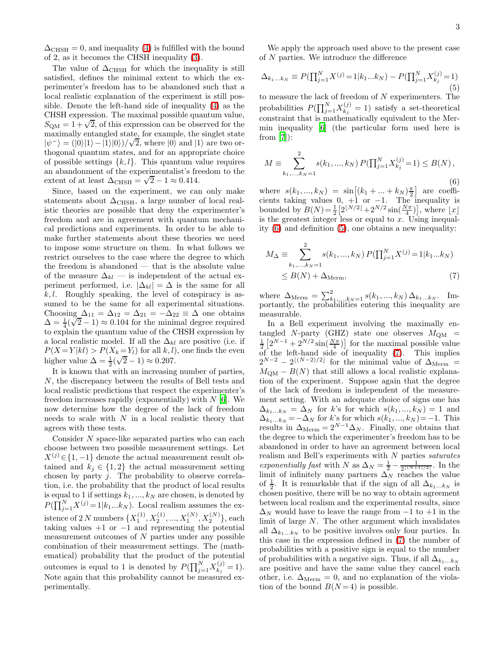$\Delta_{\text{CHSH}} = 0$ , and inequality [\(4\)](#page-1-0) is fulfilled with the bound of 2, as it becomes the CHSH inequality [\(3\)](#page-1-1).

The value of  $\Delta_{\text{CHSH}}$  for which the inequality is still satisfied, defines the minimal extent to which the experimenter's freedom has to be abandoned such that a local realistic explanation of the experiment is still possible. Denote the left-hand side of inequality [\(4\)](#page-1-0) as the CHSH expression. The maximal possible quantum value,  $S_{\text{QM}} = 1 + \sqrt{2}$ , of this expression can be observed for the maximally entangled state, for example, the singlet state  $|\psi^{-}\rangle = (|0\rangle|1\rangle - |1\rangle|0\rangle)/\sqrt{2}$ , where  $|0\rangle$  and  $|1\rangle$  are two orthogonal quantum states, and for an appropriate choice of possible settings  $\{k, l\}$ . This quantum value requires an abandonment of the experimentalist's freedom to the extent of at least  $\Delta_{\text{CHSH}} = \sqrt{2} - 1 \approx 0.414$ .

Since, based on the experiment, we can only make statements about  $\Delta_{\text{CHSH}}$ , a large number of local realistic theories are possible that deny the experimenter's freedom and are in agreement with quantum mechanical predictions and experiments. In order to be able to make further statements about these theories we need to impose some structure on them. In what follows we restrict ourselves to the case where the degree to which the freedom is abandoned — that is the absolute value of the measure  $\Delta_{kl}$  — is independent of the actual experiment performed, i.e.  $|\Delta_{kl}| = \Delta$  is the same for all  $k, l$ . Roughly speaking, the level of conspiracy is assumed to be the same for all experimental situations. Choosing  $\Delta_{11} = \Delta_{12} = \Delta_{21} = -\Delta_{22} \equiv \Delta$  one obtains  $\Delta = \frac{1}{4}(\sqrt{2}-1) \approx 0.104$  for the minimal degree required to explain the quantum value of the CHSH expression by a local realistic model. If all the  $\Delta_{kl}$  are positive (i.e. if  $P(X = Y | kl) > P(X_k = Y_l)$  for all k, l), one finds the even higher value  $\Delta = \frac{1}{2}(\sqrt{2}-1) \approx 0.207$ .

It is known that with an increasing number of parties, N, the discrepancy between the results of Bell tests and local realistic predictions that respect the experimenter's freedom increases rapidly (exponentially) with  $N$  [\[6\]](#page-6-5). We now determine how the degree of the lack of freedom needs to scale with  $N$  in a local realistic theory that agrees with these tests.

Consider N space-like separated parties who can each choose between two possible measurement settings. Let  $X^{(j)} \in \{1, -1\}$  denote the actual measurement result obtained and  $k_j \in \{1,2\}$  the actual measurement setting chosen by party j. The probability to observe correlation, i.e. the probability that the product of local results is equal to 1 if settings  $k_1, ..., k_N$  are chosen, is denoted by  $P(\prod_{j=1}^{N} X^{(j)} = 1 | k_1...k_N)$ . Local realism assumes the existence of 2 N numbers  $\{X_1^{(1)}, X_2^{(1)}, ..., X_1^{(N)}, X_2^{(N)}\}$ , each taking values  $+1$  or  $-1$  and representing the potential measurement outcomes of  $N$  parties under any possible combination of their measurement settings. The (mathematical) probability that the product of the potential outcomes is equal to 1 is denoted by  $P(\prod_{j=1}^{N} X_{k_j}^{(j)})$  $k_j^{(j)} = 1$ . Note again that this probability cannot be measured experimentally.

<span id="page-2-1"></span>We apply the approach used above to the present case of N parties. We introduce the difference

$$
\Delta_{k_1...k_N} \equiv P(\prod_{j=1}^N X^{(j)} = 1 | k_1...k_N) - P(\prod_{j=1}^N X_{k_j}^{(j)} = 1)
$$
\n(5)

<span id="page-2-0"></span>to measure the lack of freedom of  $N$  experimenters. The probabilities  $P(\prod_{j=1}^N X_{k_j}^{(j)})$  $k_j^{(j)} = 1$ ) satisfy a set-theoretical constraint that is mathematically equivalent to the Mermin inequality [\[6\]](#page-6-5) (the particular form used here is from  $|7|$ :

$$
M \equiv \sum_{k_1,\dots,k_N=1}^{2} s(k_1,\dots,k_N) P(\prod_{j=1}^{N} X_{k_j}^{(j)} = 1) \le B(N),
$$
\n(6)

where  $s(k_1, ..., k_N) = \sin[(k_1 + ... + k_N)\frac{\pi}{2}]$  are coefficients taking values  $0, +1$  or  $-1$ . The inequality is bounded by  $B(N) = \frac{1}{2} \left[ 2^{\lfloor N/2 \rfloor} + 2^{N/2} \sin(\frac{N\pi}{4}) \right]$ , where  $\lfloor x \rfloor$ is the greatest integer less or equal to  $x$ . Using inequality [\(6\)](#page-2-0) and definition [\(5\)](#page-2-1), one obtains a new inequality:

<span id="page-2-2"></span>
$$
M_{\Delta} \equiv \sum_{k_1,\dots,k_N=1}^{2} s(k_1,\dots,k_N) P(\prod_{j=1}^{N} X^{(j)} = 1 | k_1 \dots k_N)
$$
  
 
$$
\leq B(N) + \Delta_{\text{Merm}},
$$
 (7)

where  $\Delta_{\text{Merm}} = \sum_{k_1,...,k_N=1}^{2} s(k_1,...,k_N) \Delta_{k_1...k_N}$ . Importantly, the probabilities entering this inequality are measurable.

In a Bell experiment involving the maximally entangled N-party (GHZ) state one observes  $M_{OM}$  =  $\frac{1}{2}\left[2^{N-1}+2^{N/2}\sin(\frac{N\pi}{4})\right]$  for the maximal possible value of the left-hand side of inequality [\(7\)](#page-2-2). This implies  $2^{N-2} - 2^{\lfloor (N-2)/2 \rfloor}$  for the minimal value of  $\Delta_{\text{Merm}} =$  $M_{\text{QM}} - B(N)$  that still allows a local realistic explanation of the experiment. Suppose again that the degree of the lack of freedom is independent of the measurement setting. With an adequate choice of signs one has  $\Delta_{k_1...k_N} = \Delta_N$  for k's for which  $s(k_1,...,k_N) = 1$  and  $\Delta_{k_1...k_N} = -\Delta_N$  for k's for which  $s(k_1, ..., k_N) = -1$ . This results in  $\Delta_{\text{Merm}} = 2^{N-1} \Delta_N$ . Finally, one obtains that the degree to which the experimenter's freedom has to be abandoned in order to have an agreement between local realism and Bell's experiments with N parties saturates exponentially fast with N as  $\Delta_N = \frac{1}{2} - \frac{1}{2^{\lfloor (N+1)/2 \rfloor}}$ . In the limit of infinitely many partners  $\Delta_N$  reaches the value of  $\frac{1}{2}$ . It is remarkable that if the sign of all  $\Delta_{k_1...k_N}$  is chosen positive, there will be no way to obtain agreement between local realism and the experimental results, since  $\Delta_N$  would have to leave the range from  $-1$  to  $+1$  in the limit of large N. The other argument which invalidates all  $\Delta_{k_1...k_N}$  to be positive involves only four parties. In this case in the expression defined in [\(7\)](#page-2-2) the number of probabilities with a positive sign is equal to the number of probabilities with a negative sign. Thus, if all  $\Delta_{k_1...k_N}$ are positive and have the same value they cancel each other, i.e.  $\Delta_{\text{Merm}} = 0$ , and no explanation of the violation of the bound  $B(N=4)$  is possible.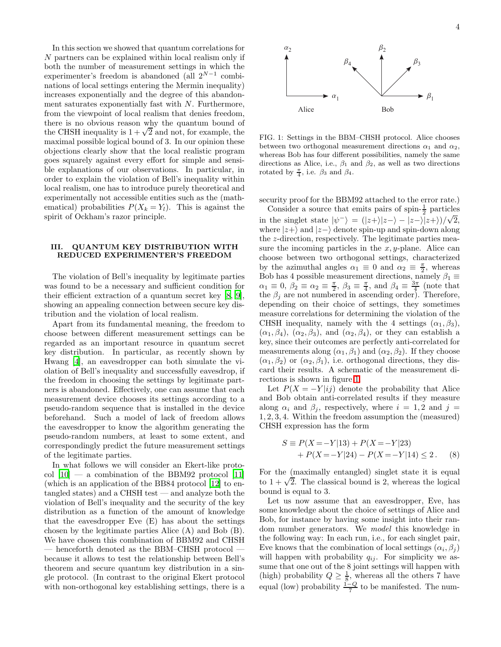In this section we showed that quantum correlations for N partners can be explained within local realism only if both the number of measurement settings in which the experimenter's freedom is abandoned (all  $2^{N-1}$  combinations of local settings entering the Mermin inequality) increases exponentially and the degree of this abandonment saturates exponentially fast with  $N$ . Furthermore, from the viewpoint of local realism that denies freedom, there is no obvious reason why the quantum bound of the CHSH inequality is  $1 + \sqrt{2}$  and not, for example, the maximal possible logical bound of 3. In our opinion these objections clearly show that the local realistic program goes squarely against every effort for simple and sensible explanations of our observations. In particular, in order to explain the violation of Bell's inequality within local realism, one has to introduce purely theoretical and experimentally not accessible entities such as the (mathematical) probabilities  $P(X_k = Y_l)$ . This is against the spirit of Ockham's razor principle.

# III. QUANTUM KEY DISTRIBUTION WITH REDUCED EXPERIMENTER'S FREEDOM

The violation of Bell's inequality by legitimate parties was found to be a necessary and sufficient condition for their efficient extraction of a quantum secret key [\[8,](#page-6-7) [9\]](#page-6-8), showing an appealing connection between secure key distribution and the violation of local realism.

Apart from its fundamental meaning, the freedom to choose between different measurement settings can be regarded as an important resource in quantum secret key distribution. In particular, as recently shown by Hwang [\[4](#page-6-3)], an eavesdropper can both simulate the violation of Bell's inequality and successfully eavesdrop, if the freedom in choosing the settings by legitimate partners is abandoned. Effectively, one can assume that each measurement device chooses its settings according to a pseudo-random sequence that is installed in the device beforehand. Such a model of lack of freedom allows the eavesdropper to know the algorithm generating the pseudo-random numbers, at least to some extent, and correspondingly predict the future measurement settings of the legitimate parties.

In what follows we will consider an Ekert-like protocol  $[10]$  — a combination of the BBM92 protocol  $[11]$ (which is an application of the BB84 protocol [\[12\]](#page-6-11) to entangled states) and a CHSH test — and analyze both the violation of Bell's inequality and the security of the key distribution as a function of the amount of knowledge that the eavesdropper Eve (E) has about the settings chosen by the legitimate parties Alice (A) and Bob (B). We have chosen this combination of BBM92 and CHSH — henceforth denoted as the BBM–CHSH protocol because it allows to test the relationship between Bell's theorem and secure quantum key distribution in a single protocol. (In contrast to the original Ekert protocol with non-orthogonal key establishing settings, there is a



<span id="page-3-0"></span>FIG. 1: Settings in the BBM–CHSH protocol. Alice chooses between two orthogonal measurement directions  $\alpha_1$  and  $\alpha_2$ , whereas Bob has four different possibilities, namely the same directions as Alice, i.e.,  $\beta_1$  and  $\beta_2$ , as well as two directions rotated by  $\frac{\pi}{4}$ , i.e.  $\beta_3$  and  $\beta_4$ .

security proof for the BBM92 attached to the error rate.)

Consider a source that emits pairs of spin- $\frac{1}{2}$  particles in the singlet state  $|\psi^{-}\rangle = (|z+\rangle|z-\rangle - |z-\rangle|z+\rangle)/\sqrt{2}$ , where  $|z+\rangle$  and  $|z-\rangle$  denote spin-up and spin-down along the z-direction, respectively. The legitimate parties measure the incoming particles in the  $x, y$ -plane. Alice can choose between two orthogonal settings, characterized by the azimuthal angles  $\alpha_1 \equiv 0$  and  $\alpha_2 \equiv \frac{\pi}{2}$ , whereas Bob has 4 possible measurement directions, namely  $\beta_1 \equiv$  $\alpha_1 \equiv 0, \beta_2 \equiv \alpha_2 \equiv \frac{\pi}{2}, \beta_3 \equiv \frac{\pi}{4}, \text{ and } \beta_4 \equiv \frac{3\pi}{4} \text{ (note that)}$ the  $\beta_j$  are not numbered in ascending order). Therefore, depending on their choice of settings, they sometimes measure correlations for determining the violation of the CHSH inequality, namely with the 4 settings  $(\alpha_1, \beta_3)$ ,  $(\alpha_1, \beta_4)$ ,  $(\alpha_2, \beta_3)$ , and  $(\alpha_2, \beta_4)$ , or they can establish a key, since their outcomes are perfectly anti-correlated for measurements along  $(\alpha_1, \beta_1)$  and  $(\alpha_2, \beta_2)$ . If they choose  $(\alpha_1, \beta_2)$  or  $(\alpha_2, \beta_1)$ , i.e. orthogonal directions, they discard their results. A schematic of the measurement directions is shown in figure [1.](#page-3-0)

Let  $P(X = -Y|ij)$  denote the probability that Alice and Bob obtain anti-correlated results if they measure along  $\alpha_i$  and  $\beta_j$ , respectively, where  $i = 1, 2$  and  $j =$ 1, 2, 3, 4. Within the freedom assumption the (measured) CHSH expression has the form

<span id="page-3-1"></span>
$$
S \equiv P(X = -Y|13) + P(X = -Y|23) + P(X = -Y|24) - P(X = -Y|14) \le 2.
$$
 (8)

For the (maximally entangled) singlet state it is equal to  $1 + \sqrt{2}$ . The classical bound is 2, whereas the logical bound is equal to 3.

Let us now assume that an eavesdropper, Eve, has some knowledge about the choice of settings of Alice and Bob, for instance by having some insight into their random number generators. We model this knowledge in the following way: In each run, i.e., for each singlet pair, Eve knows that the combination of local settings  $(\alpha_i, \beta_j)$ will happen with probability  $q_{ij}$ . For simplicity we assume that one out of the 8 joint settings will happen with (high) probability  $Q \geq \frac{1}{8}$ , whereas all the others 7 have equal (low) probability  $\frac{1-Q}{7}$  to be manifested. The num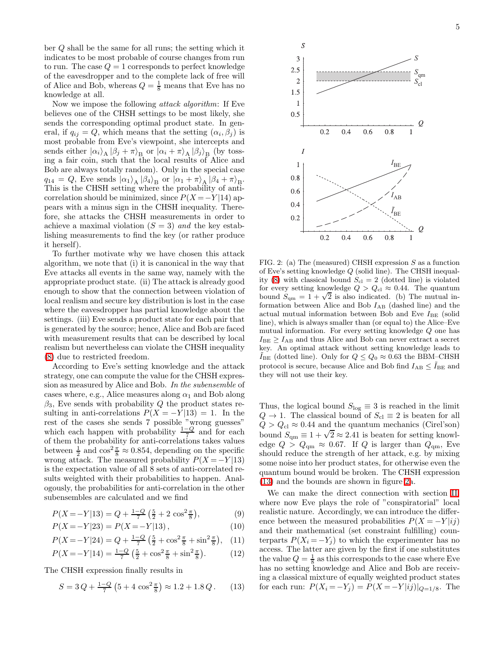ber Q shall be the same for all runs; the setting which it indicates to be most probable of course changes from run to run. The case  $Q = 1$  corresponds to perfect knowledge of the eavesdropper and to the complete lack of free will of Alice and Bob, whereas  $Q = \frac{1}{8}$  means that Eve has no knowledge at all.

Now we impose the following attack algorithm: If Eve believes one of the CHSH settings to be most likely, she sends the corresponding optimal product state. In general, if  $q_{ij} = Q$ , which means that the setting  $(\alpha_i, \beta_j)$  is most probable from Eve's viewpoint, she intercepts and sends either  $|\alpha_i\rangle_A |\beta_j + \pi\rangle_B$  or  $|\alpha_i + \pi\rangle_A |\beta_j\rangle_B$  (by tossing a fair coin, such that the local results of Alice and Bob are always totally random). Only in the special case  $q_{14} = Q$ , Eve sends  $|\alpha_1\rangle_A |\beta_4\rangle_B$  or  $|\alpha_1 + \pi\rangle_A |\beta_4 + \pi\rangle_B$ . This is the CHSH setting where the probability of anticorrelation should be minimized, since  $P(X = -Y | 14)$  appears with a minus sign in the CHSH inequality. Therefore, she attacks the CHSH measurements in order to achieve a maximal violation  $(S = 3)$  and the key establishing measurements to find the key (or rather produce it herself).

To further motivate why we have chosen this attack algorithm, we note that (i) it is canonical in the way that Eve attacks all events in the same way, namely with the appropriate product state. (ii) The attack is already good enough to show that the connection between violation of local realism and secure key distribution is lost in the case where the eavesdropper has partial knowledge about the settings. (iii) Eve sends a product state for each pair that is generated by the source; hence, Alice and Bob are faced with measurement results that can be described by local realism but nevertheless can violate the CHSH inequality [\(8\)](#page-3-1) due to restricted freedom.

According to Eve's setting knowledge and the attack strategy, one can compute the value for the CHSH expression as measured by Alice and Bob. In the subensemble of cases where, e.g., Alice measures along  $\alpha_1$  and Bob along  $\beta_3$ , Eve sends with probability Q the product states resulting in anti-correlations  $P(X = -Y|13) = 1$ . In the rest of the cases she sends 7 possible "wrong guesses" which each happen with probability  $\frac{1-Q}{7}$  and for each of them the probability for anti-correlations takes values between  $\frac{1}{2}$  and  $\cos^2 \frac{\pi}{8} \approx 0.854$ , depending on the specific wrong attack. The measured probability  $P(X = -Y | 13)$ is the expectation value of all 8 sets of anti-correlated results weighted with their probabilities to happen. Analogously, the probabilities for anti-correlation in the other subensembles are calculated and we find

$$
P(X = -Y|13) = Q + \frac{1-Q}{7} \left(\frac{5}{2} + 2\cos^2\frac{\pi}{8}\right),\tag{9}
$$

$$
P(X = -Y|23) = P(X = -Y|13),\tag{10}
$$

$$
P(X = -Y|24) = Q + \frac{1-Q}{7} \left(\frac{5}{2} + \cos^2 \frac{\pi}{8} + \sin^2 \frac{\pi}{8}\right), \quad (11)
$$

$$
P(X = -Y|14) = \frac{1-Q}{7} \left(\frac{5}{2} + \cos^2 \frac{\pi}{8} + \sin^2 \frac{\pi}{8}\right). \tag{12}
$$

The CHSH expression finally results in

<span id="page-4-0"></span>
$$
S = 3Q + \frac{1-Q}{7} \left( 5 + 4 \cos^2 \frac{\pi}{8} \right) \approx 1.2 + 1.8 Q. \quad (13)
$$



<span id="page-4-1"></span>FIG. 2: (a) The (measured) CHSH expression S as a function of Eve's setting knowledge Q (solid line). The CHSH inequal-ity [\(8\)](#page-3-1) with classical bound  $S_{\rm cl} = 2$  (dotted line) is violated for every setting knowledge  $Q > Q_{\text{cl}} \approx 0.44$ . The quantum bound  $S_{\rm qm} = 1 + \sqrt{2}$  is also indicated. (b) The mutual information between Alice and Bob  $I_{AB}$  (dashed line) and the actual mutual information between Bob and Eve  $I_{BE}$  (solid line), which is always smaller than (or equal to) the Alice–Eve mutual information. For every setting knowledge Q one has  $I_{BE} \geq I_{AB}$  and thus Alice and Bob can never extract a secret key. An optimal attack without setting knowledge leads to  $I_{BE}$  (dotted line). Only for  $Q \leq Q_0 \approx 0.63$  the BBM–CHSH protocol is secure, because Alice and Bob find  $I_{AB} \leq \tilde{I}_{BE}$  and they will not use their key.

Thus, the logical bound  $S_{\text{log}} \equiv 3$  is reached in the limit  $Q \rightarrow 1$ . The classical bound of  $S_{\text{cl}} \equiv 2$  is beaten for all  $Q > Q_{\text{cl}} \approx 0.44$  and the quantum mechanics (Cirel'son) bound  $S_{\text{qm}} \equiv 1 + \sqrt{2} \approx 2.41$  is beaten for setting knowledge  $Q > Q_{\rm qm} \approx 0.67$ . If Q is larger than  $Q_{\rm qm}$ , Eve should reduce the strength of her attack, e.g. by mixing some noise into her product states, for otherwise even the quantum bound would be broken. The CHSH expression [\(13\)](#page-4-0) and the bounds are shown in figure [2a](#page-4-1).

We can make the direct connection with section [II,](#page-0-0) where now Eve plays the role of "conspiratorial" local realistic nature. Accordingly, we can introduce the difference between the measured probabilities  $P(X = -Y | i j)$ and their mathematical (set constraint fulfilling) counterparts  $P(X_i = -Y_i)$  to which the experimenter has no access. The latter are given by the first if one substitutes the value  $Q = \frac{1}{8}$  as this corresponds to the case where Eve has no setting knowledge and Alice and Bob are receiving a classical mixture of equally weighted product states for each run:  $P(X_i = -Y_j) = P(X = -Y |ij)|_{Q=1/8}$ . The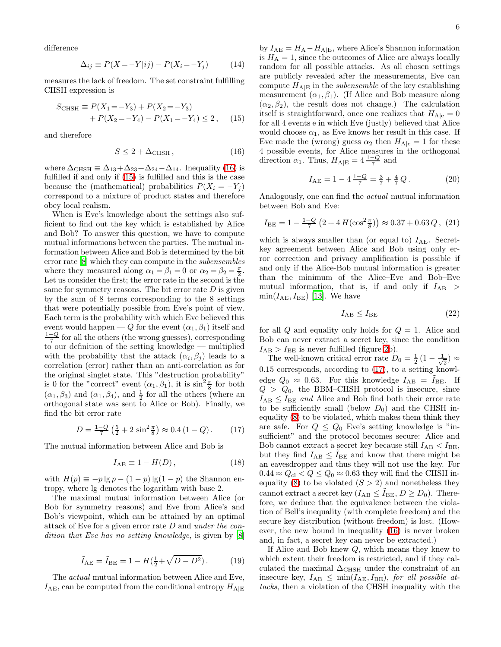difference

$$
\Delta_{ij} \equiv P(X = -Y|ij) - P(X_i = -Y_j) \tag{14}
$$

measures the lack of freedom. The set constraint fulfilling CHSH expression is

$$
S_{\text{CHSH}} \equiv P(X_1 = -Y_3) + P(X_2 = -Y_3) + P(X_2 = -Y_4) - P(X_1 = -Y_4) \le 2, \quad (15)
$$

<span id="page-5-0"></span>and therefore

<span id="page-5-1"></span>
$$
S \le 2 + \Delta_{\text{CHSH}} , \qquad (16)
$$

where  $\Delta_{\text{CHSH}} \equiv \Delta_{13} + \Delta_{23} + \Delta_{24} - \Delta_{14}$ . Inequality [\(16\)](#page-5-0) is fulfilled if and only if [\(15\)](#page-5-1) is fulfilled and this is the case because the (mathematical) probabilities  $P(X_i = -Y_j)$ correspond to a mixture of product states and therefore obey local realism.

When is Eve's knowledge about the settings also sufficient to find out the key which is established by Alice and Bob? To answer this question, we have to compute mutual informations between the parties. The mutual information between Alice and Bob is determined by the bit error rate [\[8\]](#page-6-7) which they can compute in the subensembles where they measured along  $\alpha_1 = \beta_1 = 0$  or  $\alpha_2 = \beta_2 = \frac{\pi}{2}$ . Let us consider the first; the error rate in the second is the same for symmetry reasons. The bit error rate  $D$  is given by the sum of 8 terms corresponding to the 8 settings that were potentially possible from Eve's point of view. Each term is the probability with which Eve believed this event would happen — Q for the event  $(\alpha_1, \beta_1)$  itself and  $\frac{1-Q}{7}$  for all the others (the wrong guesses), corresponding to our definition of the setting knowledge — multiplied with the probability that the attack  $(\alpha_i, \beta_j)$  leads to a correlation (error) rather than an anti-correlation as for the original singlet state. This "destruction probability" is 0 for the "correct" event  $(\alpha_1, \beta_1)$ , it is  $\sin^2 \frac{\pi}{8}$  for both  $(\alpha_1, \beta_3)$  and  $(\alpha_1, \beta_4)$ , and  $\frac{1}{2}$  for all the others (where an orthogonal state was sent to Alice or Bob). Finally, we find the bit error rate

<span id="page-5-2"></span>
$$
D = \frac{1 - Q}{7} \left( \frac{5}{2} + 2 \sin^2 \frac{\pi}{8} \right) \approx 0.4 \left( 1 - Q \right). \tag{17}
$$

The mutual information between Alice and Bob is

$$
I_{AB} \equiv 1 - H(D), \qquad (18)
$$

with  $H(p) \equiv -p \lg p - (1-p) \lg(1-p)$  the Shannon entropy, where lg denotes the logarithm with base 2.

The maximal mutual information between Alice (or Bob for symmetry reasons) and Eve from Alice's and Bob's viewpoint, which can be attained by an optimal attack of Eve for a given error rate D and under the con-dition that Eve has no setting knowledge, is given by [\[8](#page-6-7)]

$$
\tilde{I}_{\rm AE} = \tilde{I}_{\rm BE} = 1 - H(\frac{1}{2} + \sqrt{D - D^2}).\tag{19}
$$

The actual mutual information between Alice and Eve,  $I_{AE}$ , can be computed from the conditional entropy  $H_{A|E}$  6

by  $I_{AE} = H_A - H_{A|E}$ , where Alice's Shannon information is  $H_A = 1$ , since the outcomes of Alice are always locally random for all possible attacks. As all chosen settings are publicly revealed after the measurements, Eve can compute  $H_{\text{A/E}}$  in the *subensemble* of the key establishing measurement  $(\alpha_1, \beta_1)$ . (If Alice and Bob measure along  $(\alpha_2, \beta_2)$ , the result does not change.) The calculation itself is straightforward, once one realizes that  $H_{A|e} = 0$ for all 4 events e in which Eve (justly) believed that Alice would choose  $\alpha_1$ , as Eve knows her result in this case. If Eve made the (wrong) guess  $\alpha_2$  then  $H_{A|e} = 1$  for these 4 possible events, for Alice measures in the orthogonal direction  $\alpha_1$ . Thus,  $H_{A|E} = 4 \frac{1-Q}{7}$  and

$$
I_{\text{AE}} = 1 - 4\,\frac{1-Q}{7} = \frac{3}{7} + \frac{4}{7}Q\,. \tag{20}
$$

Analogously, one can find the actual mutual information between Bob and Eve:

$$
I_{\rm BE} = 1 - \frac{1 - Q}{7} \left( 2 + 4 H(\cos^2 \frac{\pi}{8}) \right) \approx 0.37 + 0.63 Q, (21)
$$

which is always smaller than (or equal to)  $I_{AE}$ . Secretkey agreement between Alice and Bob using only error correction and privacy amplification is possible if and only if the Alice-Bob mutual information is greater than the minimum of the Alice–Eve and Bob–Eve mutual information, that is, if and only if  $I_{AB}$  $\min(I_{\text{AE}}, I_{\text{BE}})$  [\[13\]](#page-6-12). We have

$$
I_{\rm AB} \le I_{\rm BE} \tag{22}
$$

for all  $Q$  and equality only holds for  $Q = 1$ . Alice and Bob can never extract a secret key, since the condition  $I_{AB}$  >  $I_{BE}$  is never fulfilled (figure [2b](#page-4-1)).

The well-known critical error rate  $D_0 = \frac{1}{2} \left( 1 - \frac{1}{\sqrt{2}} \right)$  $_{2}^{\cdot})\approx$ 0.15 corresponds, according to [\(17\)](#page-5-2), to a setting knowledge  $Q_0 \approx 0.63$ . For this knowledge  $I_{AB} = I_{BE}$ . If  $Q > Q_0$ , the BBM–CHSH protocol is insecure, since  $I_{AB} \leq I_{BE}$  and Alice and Bob find both their error rate to be sufficiently small (below  $D_0$ ) and the CHSH inequality [\(8\)](#page-3-1) to be violated, which makes them think they are safe. For  $Q \leq Q_0$  Eve's setting knowledge is "insufficient" and the protocol becomes secure: Alice and Bob cannot extract a secret key because still  $I_{AB} < I_{BE}$ , but they find  $I_{AB} \leq I_{BE}$  and know that there might be an eavesdropper and thus they will not use the key. For  $0.44 \approx Q_\mathrm{cl} < Q \leq Q_0 \approx 0.63$  they will find the CHSH in-equality [\(8\)](#page-3-1) to be violated  $(S > 2)$  and nonetheless they cannot extract a secret key  $(I_{AB} \leq I_{BE}, D \geq D_0)$ . Therefore, we deduce that the equivalence between the violation of Bell's inequality (with complete freedom) and the secure key distribution (without freedom) is lost. (However, the new bound in inequality [\(16\)](#page-5-0) is never broken and, in fact, a secret key can never be extracted.)

If Alice and Bob knew Q, which means they knew to which extent their freedom is restricted, and if they calculated the maximal  $\Delta_{\text{CHSH}}$  under the constraint of an insecure key,  $I_{AB} \leq \min(I_{AE}, I_{BE})$ , for all possible attacks, then a violation of the CHSH inequality with the